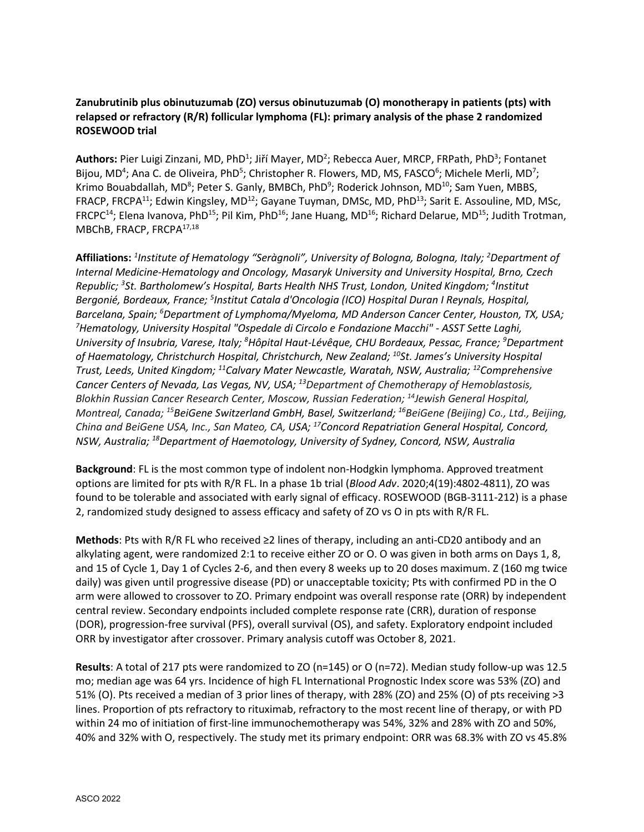## **Zanubrutinib plus obinutuzumab (ZO) versus obinutuzumab (O) monotherapy in patients (pts) with relapsed or refractory (R/R) follicular lymphoma (FL): primary analysis of the phase 2 randomized ROSEWOOD trial**

Authors: Pier Luigi Zinzani, MD, PhD<sup>1</sup>; Jiří Mayer, MD<sup>2</sup>; Rebecca Auer, MRCP, FRPath, PhD<sup>3</sup>; Fontanet Bijou, MD<sup>4</sup>; Ana C. de Oliveira, PhD<sup>5</sup>; Christopher R. Flowers, MD, MS, FASCO<sup>6</sup>; Michele Merli, MD<sup>7</sup>; Krimo Bouabdallah, MD<sup>8</sup>; Peter S. Ganly, BMBCh, PhD<sup>9</sup>; Roderick Johnson, MD<sup>10</sup>; Sam Yuen, MBBS, FRACP, FRCPA<sup>11</sup>; Edwin Kingsley, MD<sup>12</sup>; Gayane Tuyman, DMSc, MD, PhD<sup>13</sup>; Sarit E. Assouline, MD, MSc, FRCPC<sup>14</sup>; Elena Ivanova, PhD<sup>15</sup>; Pil Kim, PhD<sup>16</sup>; Jane Huang, MD<sup>16</sup>; Richard Delarue, MD<sup>15</sup>; Judith Trotman, MBChB, FRACP, FRCPA17,18

**Affiliations:** *<sup>1</sup> Institute of Hematology "Seràgnoli", University of Bologna, Bologna, Italy; <sup>2</sup> Department of Internal Medicine-Hematology and Oncology, Masaryk University and University Hospital, Brno, Czech Republic; 3 St. Bartholomew's Hospital, Barts Health NHS Trust, London, United Kingdom; <sup>4</sup> Institut Bergonié, Bordeaux, France; <sup>5</sup> Institut Catala d'Oncologia (ICO) Hospital Duran I Reynals, Hospital,*  Barcelana, Spain; <sup>6</sup>Department of Lymphoma/Myeloma, MD Anderson Cancer Center, Houston, TX, USA;<br><sup>7</sup>Hematology, University Hospital "Ospedale di Circolo e Fondazione Macchi" - ASST Sette Laghi *Hematology, University Hospital "Ospedale di Circolo e Fondazione Macchi" - ASST Sette Laghi, University of Insubria, Varese, Italy; 8 Hôpital Haut-Lévêque, CHU Bordeaux, Pessac, France; 9 Department of Haematology, Christchurch Hospital, Christchurch, New Zealand; 10St. James's University Hospital Trust, Leeds, United Kingdom; 11Calvary Mater Newcastle, Waratah, NSW, Australia; 12Comprehensive Cancer Centers of Nevada, Las Vegas, NV, USA; 13Department of Chemotherapy of Hemoblastosis, Blokhin Russian Cancer Research Center, Moscow, Russian Federation; 14Jewish General Hospital, Montreal, Canada; 15BeiGene Switzerland GmbH, Basel, Switzerland; 16BeiGene (Beijing) Co., Ltd., Beijing, China and BeiGene USA, Inc., San Mateo, CA, USA; 17Concord Repatriation General Hospital, Concord, NSW, Australia; 18Department of Haemotology, University of Sydney, Concord, NSW, Australia*

**Background**: FL is the most common type of indolent non-Hodgkin lymphoma. Approved treatment options are limited for pts with R/R FL. In a phase 1b trial (*Blood Adv*. 2020;4(19):4802-4811), ZO was found to be tolerable and associated with early signal of efficacy. ROSEWOOD (BGB-3111-212) is a phase 2, randomized study designed to assess efficacy and safety of ZO vs O in pts with R/R FL.

**Methods**: Pts with R/R FL who received ≥2 lines of therapy, including an anti-CD20 antibody and an alkylating agent, were randomized 2:1 to receive either ZO or O. O was given in both arms on Days 1, 8, and 15 of Cycle 1, Day 1 of Cycles 2-6, and then every 8 weeks up to 20 doses maximum. Z (160 mg twice daily) was given until progressive disease (PD) or unacceptable toxicity; Pts with confirmed PD in the O arm were allowed to crossover to ZO. Primary endpoint was overall response rate (ORR) by independent central review. Secondary endpoints included complete response rate (CRR), duration of response (DOR), progression-free survival (PFS), overall survival (OS), and safety. Exploratory endpoint included ORR by investigator after crossover. Primary analysis cutoff was October 8, 2021.

**Results**: A total of 217 pts were randomized to ZO (n=145) or O (n=72). Median study follow-up was 12.5 mo; median age was 64 yrs. Incidence of high FL International Prognostic Index score was 53% (ZO) and 51% (O). Pts received a median of 3 prior lines of therapy, with 28% (ZO) and 25% (O) of pts receiving >3 lines. Proportion of pts refractory to rituximab, refractory to the most recent line of therapy, or with PD within 24 mo of initiation of first-line immunochemotherapy was 54%, 32% and 28% with ZO and 50%, 40% and 32% with O, respectively. The study met its primary endpoint: ORR was 68.3% with ZO vs 45.8%